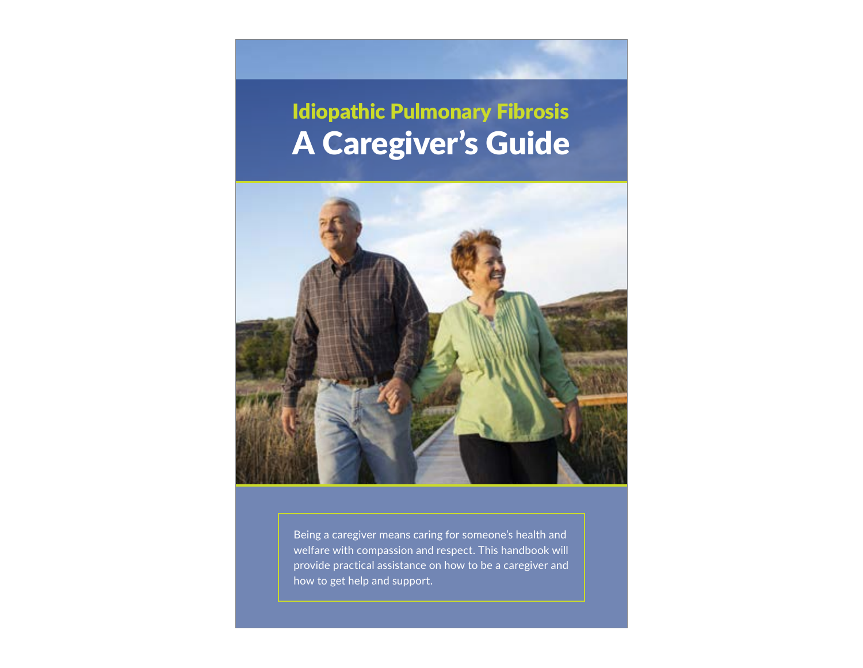# Idiopathic Pulmonary Fibrosis A Caregiver's Guide



Being a caregiver means caring for someone's health and welfare with compassion and respect. This handbook will provide practical assistance on how to be a caregiver and how to get help and support.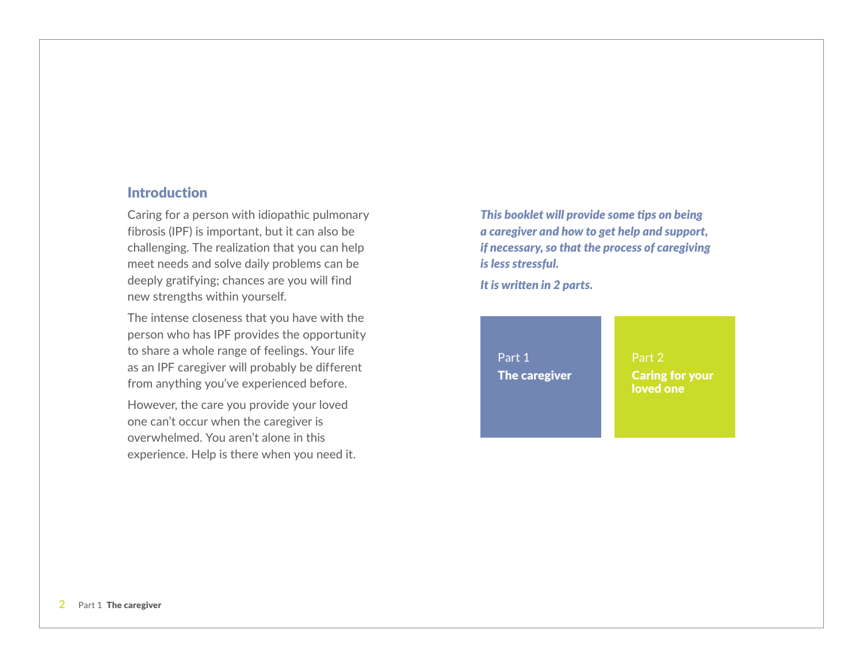#### Introduction

Caring for a person with idiopathic pulmonary fibrosis (IPF) is important, but it can also be challenging. The realization that you can help meet needs and solve daily problems can be deeply gratifying; chances are you will find new strengths within yourself.

The intense closeness that you have with the person who has IPF provides the opportunity to share a whole range of feelings. Your life as an IPF caregiver will probably be different from anything you've experienced before.

However, the care you provide your loved one can't occur when the caregiver is overwhelmed. You aren't alone in this experience. Help is there when you need it.

*This booklet will provide some tips on being a caregiver and how to get help and support, if necessary, so that the process of caregiving is less stressful.*

*It is written in 2 parts.*

Part 1 The caregiver Part 2 Caring for your loved one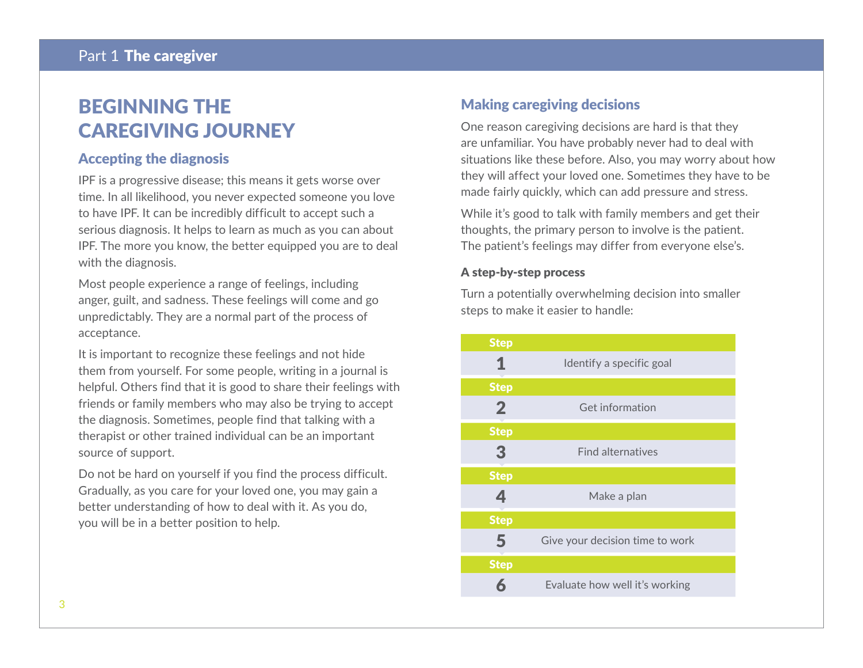# BEGINNING THE CAREGIVING JOURNEY

#### Accepting the diagnosis

IPF is a progressive disease; this means it gets worse over time. In all likelihood, you never expected someone you love to have IPF. It can be incredibly difficult to accept such a serious diagnosis. It helps to learn as much as you can about IPF. The more you know, the better equipped you are to deal with the diagnosis.

Most people experience a range of feelings, including anger, guilt, and sadness. These feelings will come and go unpredictably. They are a normal part of the process of acceptance.

It is important to recognize these feelings and not hide them from yourself. For some people, writing in a journal is helpful. Others find that it is good to share their feelings with friends or family members who may also be trying to accept the diagnosis. Sometimes, people find that talking with a therapist or other trained individual can be an important source of support.

Do not be hard on yourself if you find the process difficult. Gradually, as you care for your loved one, you may gain a better understanding of how to deal with it. As you do, you will be in a better position to help.

## Making caregiving decisions

One reason caregiving decisions are hard is that they are unfamiliar. You have probably never had to deal with situations like these before. Also, you may worry about how they will affect your loved one. Sometimes they have to be made fairly quickly, which can add pressure and stress.

While it's good to talk with family members and get their thoughts, the primary person to involve is the patient. The patient's feelings may differ from everyone else's.

#### A step-by-step process

Turn a potentially overwhelming decision into smaller steps to make it easier to handle:

| <b>Step</b>    |                                 |
|----------------|---------------------------------|
| 1              | Identify a specific goal        |
| <b>Step</b>    |                                 |
| $\overline{2}$ | Get information                 |
| <b>Step</b>    |                                 |
| $\overline{3}$ | <b>Find alternatives</b>        |
| <b>Step</b>    |                                 |
| 4              | Make a plan                     |
| <b>Step</b>    |                                 |
| 5              | Give your decision time to work |
| <b>Step</b>    |                                 |
| ħ              | Evaluate how well it's working  |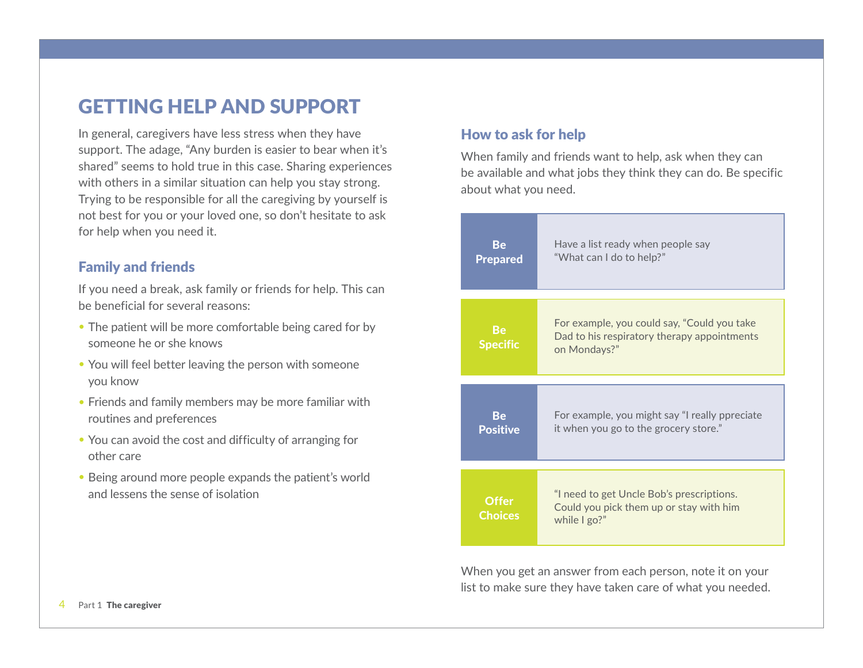# GETTING HELP AND SUPPORT

In general, caregivers have less stress when they have support. The adage, "Any burden is easier to bear when it's shared" seems to hold true in this case. Sharing experiences with others in a similar situation can help you stay strong. Trying to be responsible for all the caregiving by yourself is not best for you or your loved one, so don't hesitate to ask for help when you need it.

#### Family and friends

If you need a break, ask family or friends for help. This can be beneficial for several reasons:

- The patient will be more comfortable being cared for by someone he or she knows
- You will feel better leaving the person with someone you know
- Friends and family members may be more familiar with routines and preferences
- You can avoid the cost and difficulty of arranging for other care
- Being around more people expands the patient's world and lessens the sense of isolation

## How to ask for help

When family and friends want to help, ask when they can be available and what jobs they think they can do. Be specific about what you need.

| <b>Be</b>                      | Have a list ready when people say                                                                          |
|--------------------------------|------------------------------------------------------------------------------------------------------------|
| <b>Prepared</b>                | "What can I do to help?"                                                                                   |
| <b>Be</b><br><b>Specific</b>   | For example, you could say, "Could you take<br>Dad to his respiratory therapy appointments<br>on Mondays?" |
| Be                             | For example, you might say "I really ppreciate                                                             |
| <b>Positive</b>                | it when you go to the grocery store."                                                                      |
| <b>Offer</b><br><b>Choices</b> | "I need to get Uncle Bob's prescriptions.<br>Could you pick them up or stay with him<br>while $\lg 2$ "    |

When you get an answer from each person, note it on your list to make sure they have taken care of what you needed.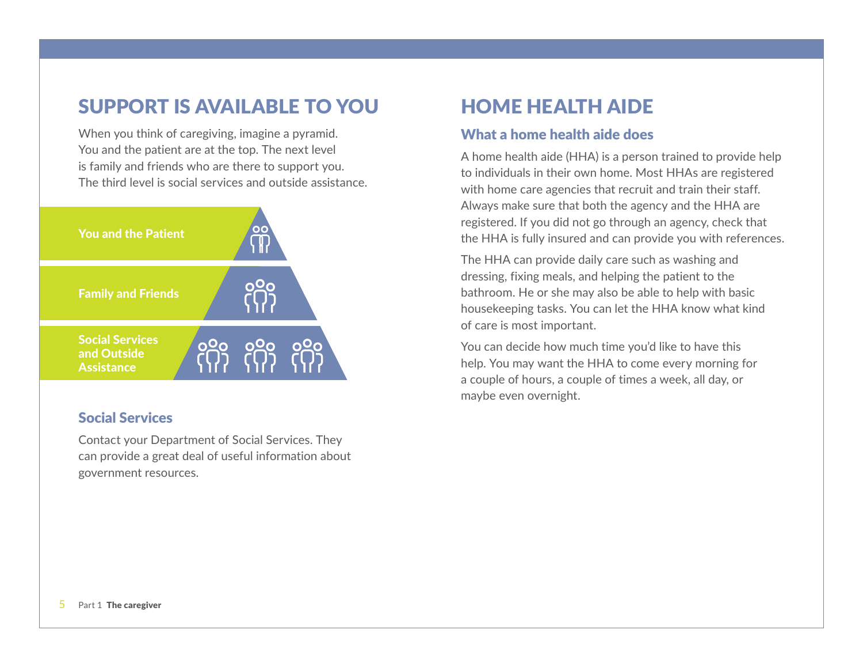# SUPPORT IS AVAILABLE TO YOU HOME HEALTH AIDE

When you think of caregiving, imagine a pyramid. You and the patient are at the top. The next level is family and friends who are there to support you. The third level is social services and outside assistance.



## Social Services

Contact your Department of Social Services. They can provide a great deal of useful information about government resources.

## What a home health aide does

A home health aide (HHA) is a person trained to provide help to individuals in their own home. Most HHAs are registered with home care agencies that recruit and train their staff. Always make sure that both the agency and the HHA are registered. If you did not go through an agency, check that the HHA is fully insured and can provide you with references.

The HHA can provide daily care such as washing and dressing, fixing meals, and helping the patient to the bathroom. He or she may also be able to help with basic housekeeping tasks. You can let the HHA know what kind of care is most important.

You can decide how much time you'd like to have this help. You may want the HHA to come every morning for a couple of hours, a couple of times a week, all day, or maybe even overnight.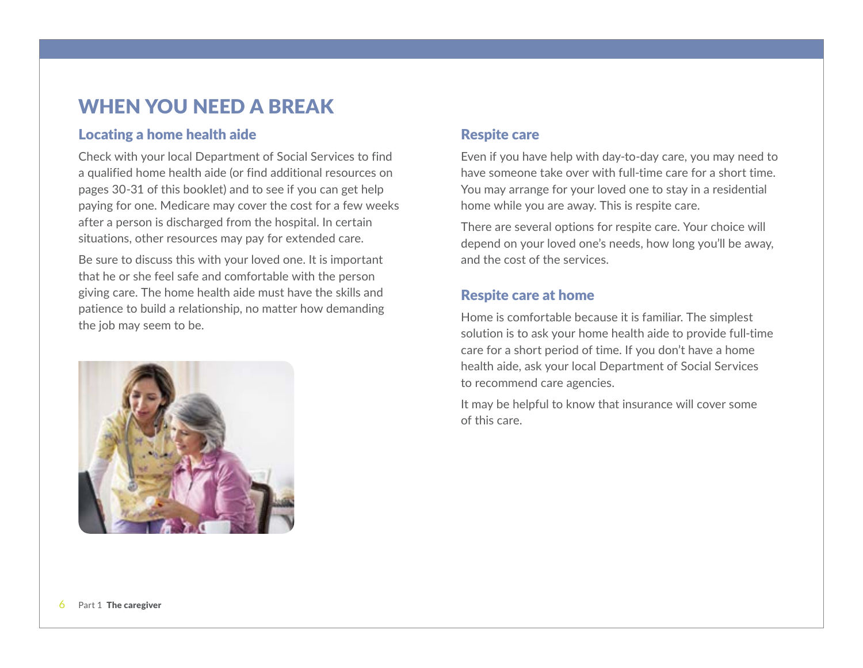# WHEN YOU NEED A BREAK

#### Locating a home health aide

Check with your local Department of Social Services to find a qualified home health aide (or find additional resources on pages 30-31 of this booklet) and to see if you can get help paying for one. Medicare may cover the cost for a few weeks after a person is discharged from the hospital. In certain situations, other resources may pay for extended care.

Be sure to discuss this with your loved one. It is important that he or she feel safe and comfortable with the person giving care. The home health aide must have the skills and patience to build a relationship, no matter how demanding the job may seem to be.



## Respite care

Even if you have help with day-to-day care, you may need to have someone take over with full-time care for a short time. You may arrange for your loved one to stay in a residential home while you are away. This is respite care.

There are several options for respite care. Your choice will depend on your loved one's needs, how long you'll be away, and the cost of the services.

## Respite care at home

Home is comfortable because it is familiar. The simplest solution is to ask your home health aide to provide full-time care for a short period of time. If you don't have a home health aide, ask your local Department of Social Services to recommend care agencies.

It may be helpful to know that insurance will cover some of this care.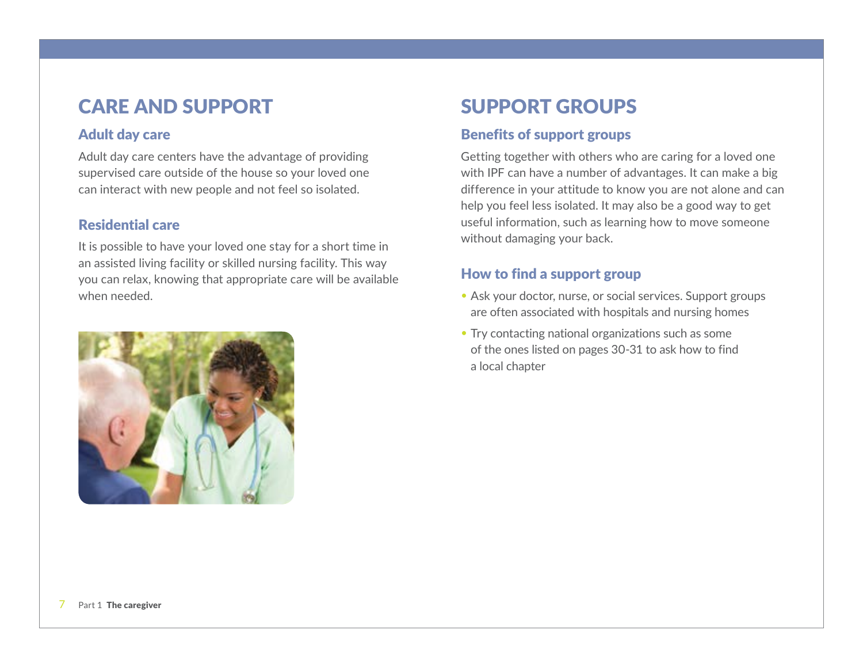# CARE AND SUPPORT SUPPORT GROUPS

## Adult day care

Adult day care centers have the advantage of providing supervised care outside of the house so your loved one can interact with new people and not feel so isolated.

## Residential care

It is possible to have your loved one stay for a short time in an assisted living facility or skilled nursing facility. This way you can relax, knowing that appropriate care will be available when needed.



## Benefits of support groups

Getting together with others who are caring for a loved one with IPF can have a number of advantages. It can make a big difference in your attitude to know you are not alone and can help you feel less isolated. It may also be a good way to get useful information, such as learning how to move someone without damaging your back.

## How to find a support group

- Ask your doctor, nurse, or social services. Support groups are often associated with hospitals and nursing homes
- Try contacting national organizations such as some of the ones listed on pages 30-31 to ask how to find a local chapter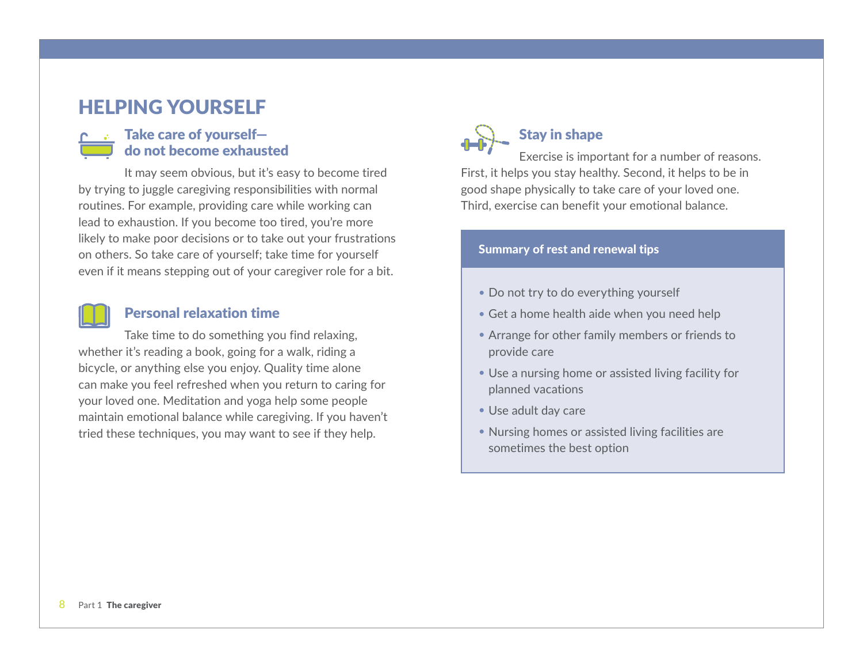# HELPING YOURSELF

## Take care of yourself do not become exhausted

It may seem obvious, but it's easy to become tired by trying to juggle caregiving responsibilities with normal routines. For example, providing care while working can lead to exhaustion. If you become too tired, you're more likely to make poor decisions or to take out your frustrations on others. So take care of yourself; take time for yourself even if it means stepping out of your caregiver role for a bit.

#### Personal relaxation time

Take time to do something you find relaxing, whether it's reading a book, going for a walk, riding a bicycle, or anything else you enjoy. Quality time alone can make you feel refreshed when you return to caring for your loved one. Meditation and yoga help some people maintain emotional balance while caregiving. If you haven't tried these techniques, you may want to see if they help.



# Stay in shape

Exercise is important for a number of reasons. First, it helps you stay healthy. Second, it helps to be in good shape physically to take care of your loved one. Third, exercise can benefit your emotional balance.

#### Summary of rest and renewal tips

- Do not try to do everything yourself
- Get a home health aide when you need help
- Arrange for other family members or friends to provide care
- Use a nursing home or assisted living facility for planned vacations
- Use adult day care
- Nursing homes or assisted living facilities are sometimes the best option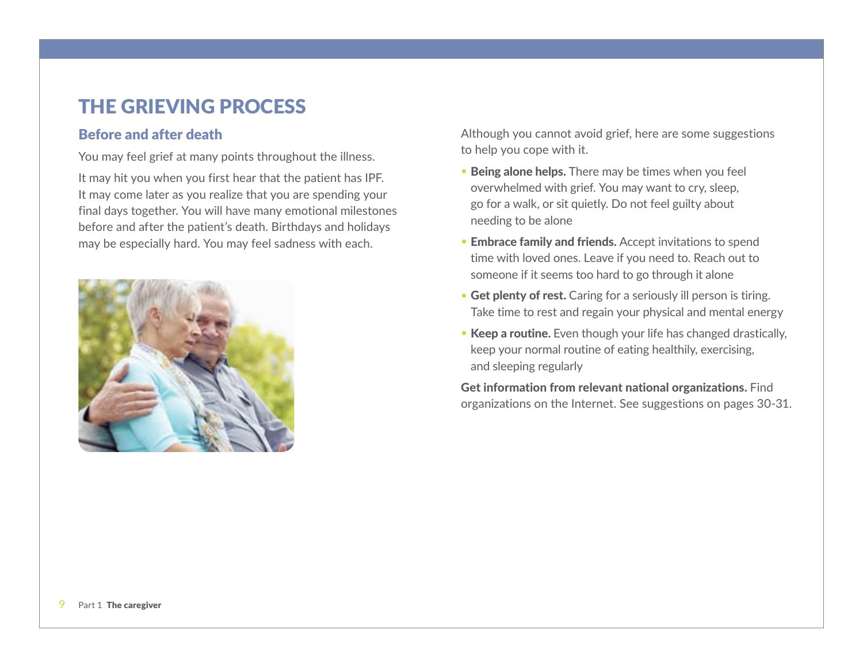# THE GRIEVING PROCESS

#### Before and after death

You may feel grief at many points throughout the illness.

It may hit you when you first hear that the patient has IPF. It may come later as you realize that you are spending your final days together. You will have many emotional milestones before and after the patient's death. Birthdays and holidays may be especially hard. You may feel sadness with each.



Although you cannot avoid grief, here are some suggestions to help you cope with it.

- Being alone helps. There may be times when you feel overwhelmed with grief. You may want to cry, sleep, go for a walk, or sit quietly. Do not feel guilty about needing to be alone
- Embrace family and friends. Accept invitations to spend time with loved ones. Leave if you need to. Reach out to someone if it seems too hard to go through it alone
- Get plenty of rest. Caring for a seriously ill person is tiring. Take time to rest and regain your physical and mental energy
- Keep a routine. Even though your life has changed drastically, keep your normal routine of eating healthily, exercising, and sleeping regularly

Get information from relevant national organizations. Find organizations on the Internet. See suggestions on pages 30-31.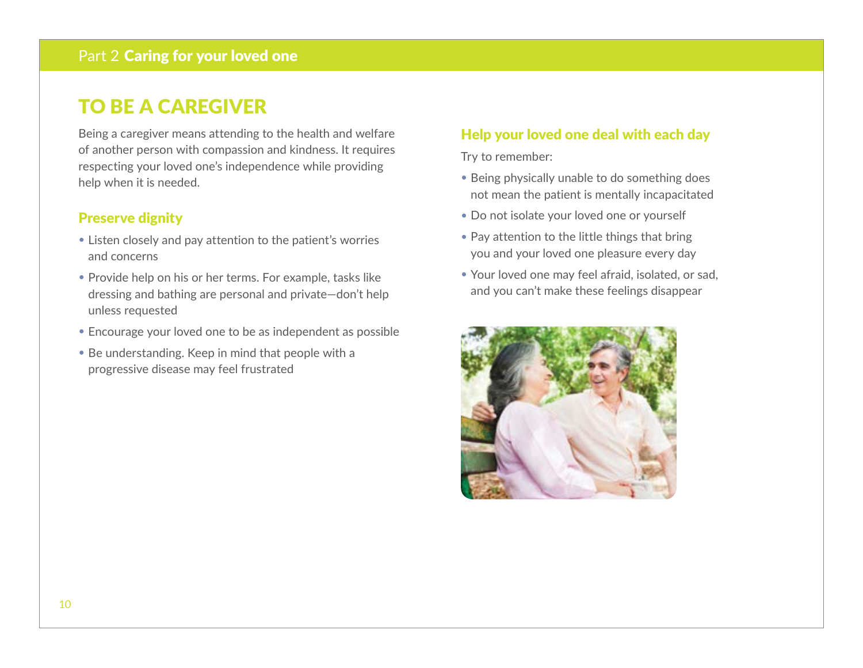# TO BE A CAREGIVER

Being a caregiver means attending to the health and welfare of another person with compassion and kindness. It requires respecting your loved one's independence while providing help when it is needed.

## Preserve dignity

- Listen closely and pay attention to the patient's worries and concerns
- Provide help on his or her terms. For example, tasks like dressing and bathing are personal and private—don't help unless requested
- Encourage your loved one to be as independent as possible
- Be understanding. Keep in mind that people with a progressive disease may feel frustrated

## Help your loved one deal with each day

Try to remember:

- Being physically unable to do something does not mean the patient is mentally incapacitated
- Do not isolate your loved one or yourself
- Pay attention to the little things that bring you and your loved one pleasure every day
- Your loved one may feel afraid, isolated, or sad, and you can't make these feelings disappear

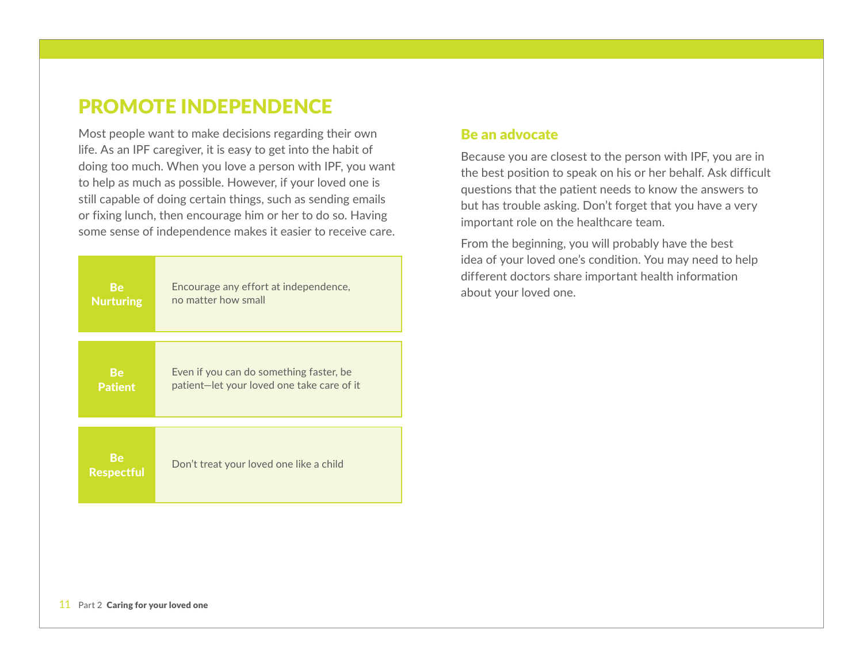## PROMOTE INDEPENDENCE

Most people want to make decisions regarding their own life. As an IPF caregiver, it is easy to get into the habit of doing too much. When you love a person with IPF, you want to help as much as possible. However, if your loved one is still capable of doing certain things, such as sending emails or fixing lunch, then encourage him or her to do so. Having some sense of independence makes it easier to receive care.

| <b>Be</b>                      | Encourage any effort at independence,      |
|--------------------------------|--------------------------------------------|
| <b>Nurturing</b>               | no matter how small                        |
| <b>Be</b>                      | Even if you can do something faster, be    |
| <b>Patient</b>                 | patient-let your loved one take care of it |
| <b>Be</b><br><b>Respectful</b> | Don't treat your loved one like a child    |

#### Be an advocate

Because you are closest to the person with IPF, you are in the best position to speak on his or her behalf. Ask difficult questions that the patient needs to know the answers to but has trouble asking. Don't forget that you have a very important role on the healthcare team.

From the beginning, you will probably have the best idea of your loved one's condition. You may need to help different doctors share important health information about your loved one.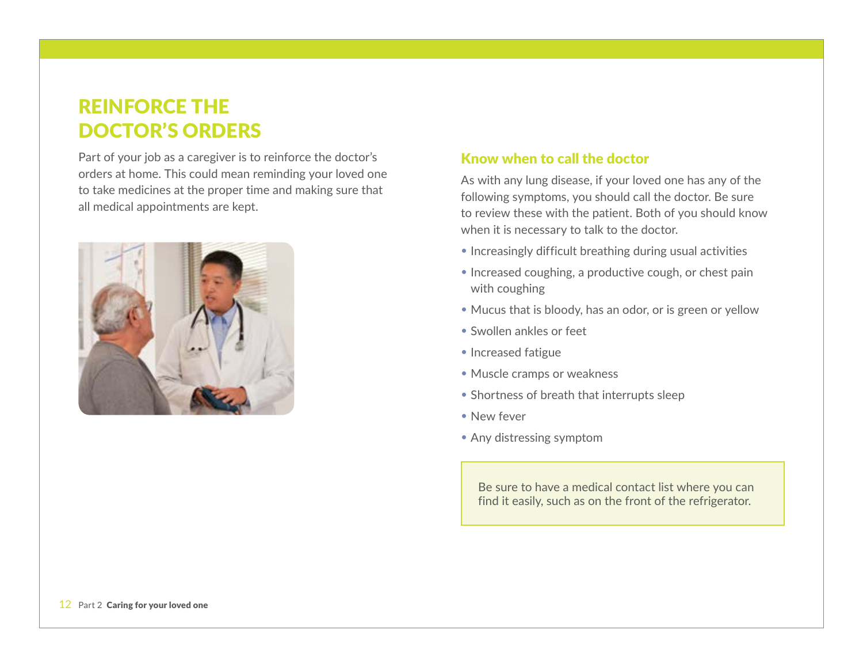# REINFORCE THE DOCTOR'S ORDERS

Part of your job as a caregiver is to reinforce the doctor's orders at home. This could mean reminding your loved one to take medicines at the proper time and making sure that all medical appointments are kept.



### Know when to call the doctor

As with any lung disease, if your loved one has any of the following symptoms, you should call the doctor. Be sure to review these with the patient. Both of you should know when it is necessary to talk to the doctor.

- Increasingly difficult breathing during usual activities
- Increased coughing, a productive cough, or chest pain with coughing
- Mucus that is bloody, has an odor, or is green or yellow
- Swollen ankles or feet
- Increased fatigue
- Muscle cramps or weakness
- Shortness of breath that interrupts sleep
- • New fever
- Any distressing symptom

Be sure to have a medical contact list where you can find it easily, such as on the front of the refrigerator.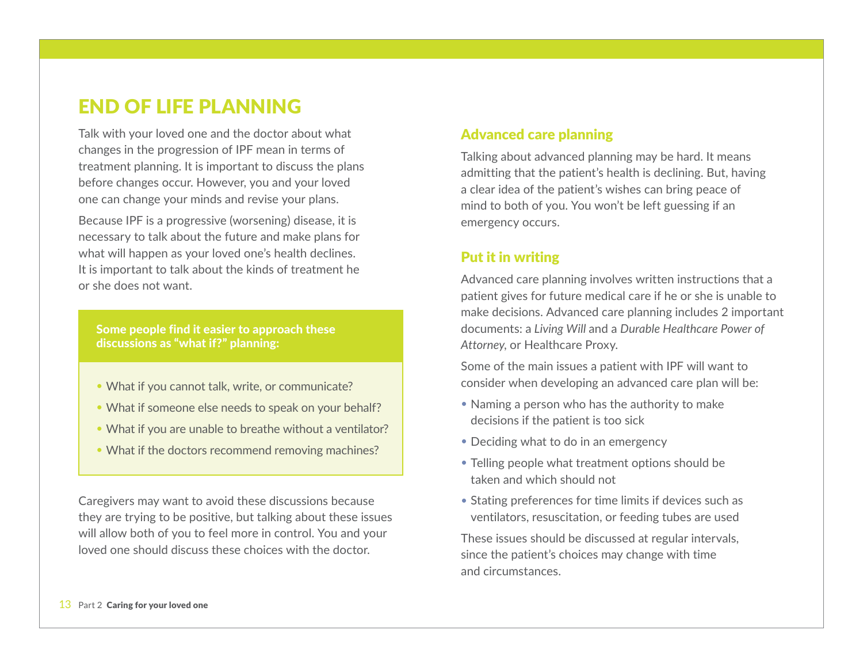## END OF LIFE PLANNING

Talk with your loved one and the doctor about what changes in the progression of IPF mean in terms of treatment planning. It is important to discuss the plans before changes occur. However, you and your loved one can change your minds and revise your plans.

Because IPF is a progressive (worsening) disease, it is necessary to talk about the future and make plans for what will happen as your loved one's health declines. It is important to talk about the kinds of treatment he or she does not want.

Some people find it easier to approach these discussions as "what if?" planning:

- What if you cannot talk, write, or communicate?
- What if someone else needs to speak on your behalf?
- What if you are unable to breathe without a ventilator?
- What if the doctors recommend removing machines?

Caregivers may want to avoid these discussions because they are trying to be positive, but talking about these issues will allow both of you to feel more in control. You and your loved one should discuss these choices with the doctor.

## Advanced care planning

Talking about advanced planning may be hard. It means admitting that the patient's health is declining. But, having a clear idea of the patient's wishes can bring peace of mind to both of you. You won't be left guessing if an emergency occurs.

## Put it in writing

Advanced care planning involves written instructions that a patient gives for future medical care if he or she is unable to make decisions. Advanced care planning includes 2 important documents: a *Living Will* and a *Durable Healthcare Power of Attorney*, or Healthcare Proxy.

Some of the main issues a patient with IPF will want to consider when developing an advanced care plan will be:

- Naming a person who has the authority to make decisions if the patient is too sick
- Deciding what to do in an emergency
- Telling people what treatment options should be taken and which should not
- Stating preferences for time limits if devices such as ventilators, resuscitation, or feeding tubes are used

These issues should be discussed at regular intervals, since the patient's choices may change with time and circumstances.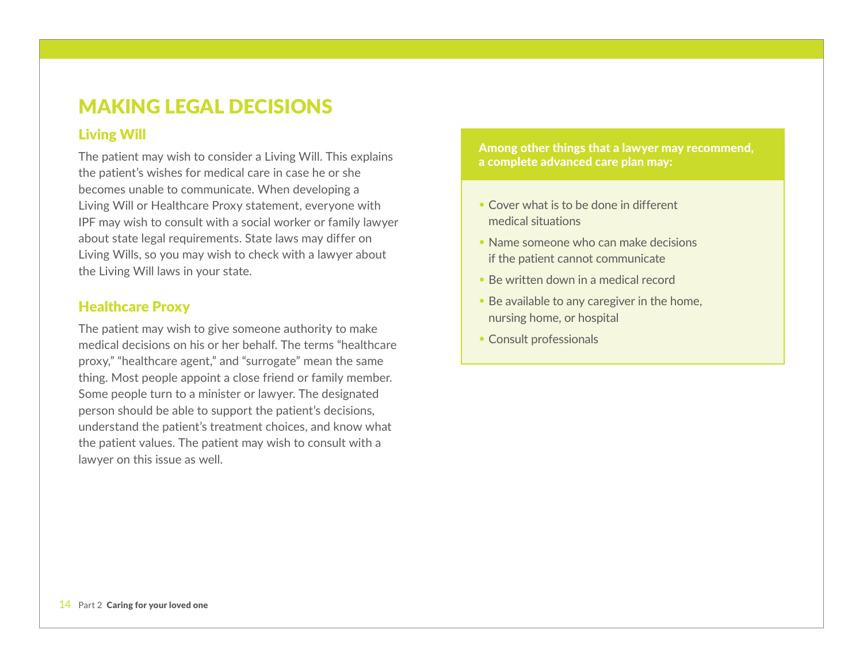# MAKING LEGAL DECISIONS

#### Living Will

The patient may wish to consider a Living Will. This explains the patient's wishes for medical care in case he or she becomes unable to communicate. When developing a Living Will or Healthcare Proxy statement, everyone with IPF may wish to consult with a social worker or family lawyer about state legal requirements. State laws may differ on Living Wills, so you may wish to check with a lawyer about the Living Will laws in your state.

#### Healthcare Proxy

The patient may wish to give someone authority to make medical decisions on his or her behalf. The terms "healthcare proxy," "healthcare agent," and "surrogate" mean the same thing. Most people appoint a close friend or family member. Some people turn to a minister or lawyer. The designated person should be able to support the patient's decisions, understand the patient's treatment choices, and know what the patient values. The patient may wish to consult with a lawyer on this issue as well.

Among other things that a lawyer may recommend, a complete advanced care plan may:

- Cover what is to be done in different medical situations
- Name someone who can make decisions if the patient cannot communicate
- Be written down in a medical record
- Be available to any caregiver in the home, nursing home, or hospital
- Consult professionals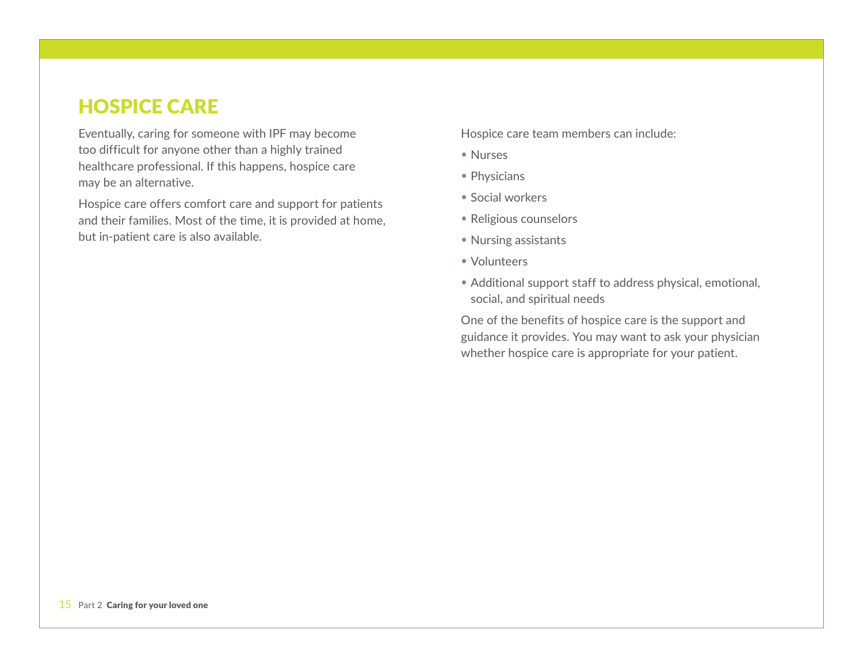## HOSPICE CARE

Eventually, caring for someone with IPF may become too difficult for anyone other than a highly trained healthcare professional. If this happens, hospice care may be an alternative.

Hospice care offers comfort care and support for patients and their families. Most of the time, it is provided at home, but in-patient care is also available.

Hospice care team members can include:

- • Nurses
- Physicians
- Social workers
- Religious counselors
- Nursing assistants
- Volunteers
- Additional support staff to address physical, emotional, social, and spiritual needs

One of the benefits of hospice care is the support and guidance it provides. You may want to ask your physician whether hospice care is appropriate for your patient.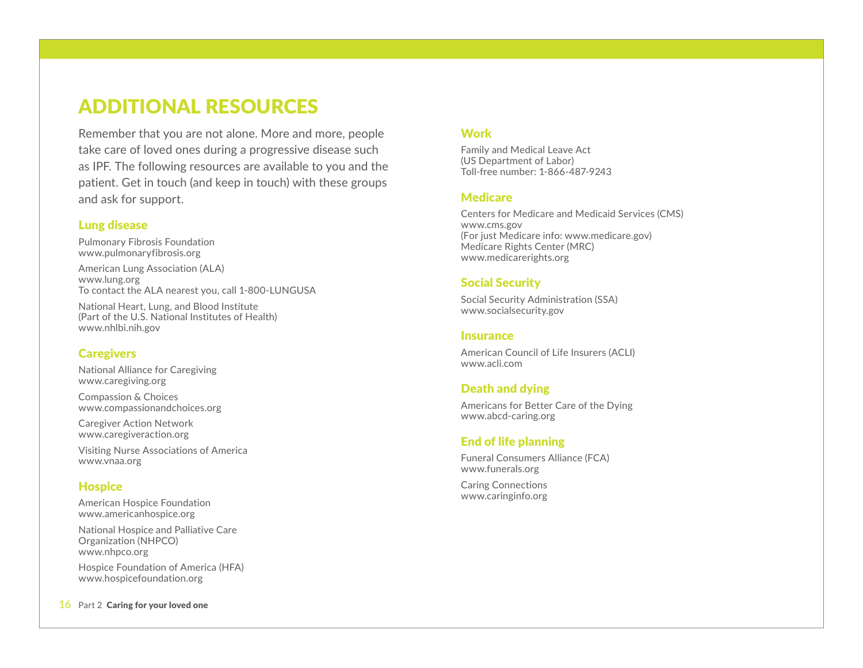# ADDITIONAL RESOURCES

Remember that you are not alone. More and more, people take care of loved ones during a progressive disease such as IPF. The following resources are available to you and the patient. Get in touch (and keep in touch) with these groups and ask for support.

#### Lung disease

Pulmonary Fibrosis Foundation www.pulmonaryfibrosis.org

American Lung Association (ALA) www.lung.org To contact the ALA nearest you, call 1-800-LUNGUSA

National Heart, Lung, and Blood Institute (Part of the U.S. National Institutes of Health) www.nhlbi.nih.gov

#### **Caregivers**

National Alliance for Caregiving www.caregiving.org

Compassion & Choices www.compassionandchoices.org

Caregiver Action Network www.caregiveraction.org

Visiting Nurse Associations of America www.vnaa.org

#### **Hospice**

American Hospice Foundation www.americanhospice.org

National Hospice and Palliative Care Organization (NHPCO) www.nhpco.org

Hospice Foundation of America (HFA) www.hospicefoundation.org

#### 16 Part 2 Caring for your loved one

#### **Work**

Family and Medical Leave Act (US Department of Labor) Toll-free number: 1-866-487-9243

#### **Medicare**

Centers for Medicare and Medicaid Services (CMS) www.cms.gov (For just Medicare info: www.medicare.gov) Medicare Rights Center (MRC) www.medicarerights.org

#### Social Security

Social Security Administration (SSA) www.socialsecurity.gov

#### **Insurance**

American Council of Life Insurers (ACLI) www.acli.com

#### Death and dying

Americans for Better Care of the Dying www.abcd-caring.org

#### End of life planning

Funeral Consumers Alliance (FCA) www.funerals.org

Caring Connections www.caringinfo.org